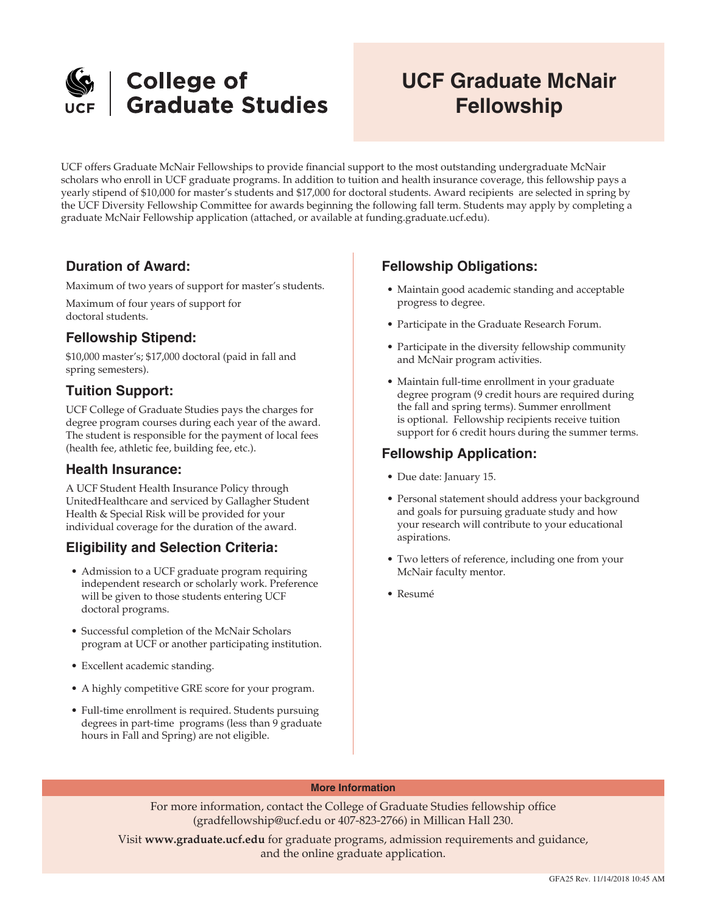

# **UCF Graduate McNair Fellowship**

UCF offers Graduate McNair Fellowships to provide financial support to the most outstanding undergraduate McNair scholars who enroll in UCF graduate programs. In addition to tuition and health insurance coverage, this fellowship pays a yearly stipend of \$10,000 for master's students and \$17,000 for doctoral students. Award recipients are selected in spring by the UCF Diversity Fellowship Committee for awards beginning the following fall term. Students may apply by completing a graduate McNair Fellowship application (attached, or available at funding.graduate.ucf.edu).

## **Duration of Award:**

Maximum of two years of support for master's students.

Maximum of four years of support for doctoral students.

## **Fellowship Stipend:**

\$10,000 master's; \$17,000 doctoral (paid in fall and spring semesters).

# **Tuition Support:**

UCF College of Graduate Studies pays the charges for degree program courses during each year of the award. The student is responsible for the payment of local fees (health fee, athletic fee, building fee, etc.).

#### **Health Insurance:**

A UCF Student Health Insurance Policy through UnitedHealthcare and serviced by Gallagher Student Health & Special Risk will be provided for your individual coverage for the duration of the award.

## **Eligibility and Selection Criteria:**

- Admission to a UCF graduate program requiring independent research or scholarly work. Preference will be given to those students entering UCF doctoral programs.
- Successful completion of the McNair Scholars program at UCF or another participating institution.
- Excellent academic standing.
- A highly competitive GRE score for your program.
- Full-time enrollment is required. Students pursuing degrees in part-time programs (less than 9 graduate hours in Fall and Spring) are not eligible.

# **Fellowship Obligations:**

- Maintain good academic standing and acceptable progress to degree.
- Participate in the Graduate Research Forum.
- Participate in the diversity fellowship community and McNair program activities.
- Maintain full-time enrollment in your graduate degree program (9 credit hours are required during the fall and spring terms). Summer enrollment is optional. Fellowship recipients receive tuition support for 6 credit hours during the summer terms.

### **Fellowship Application:**

- Due date: January 15.
- Personal statement should address your background and goals for pursuing graduate study and how your research will contribute to your educational aspirations.
- Two letters of reference, including one from your McNair faculty mentor.
- Resumé

#### **More Information**

For more information, contact the College of Graduate Studies fellowship office (gradfellowship@ucf.edu or 407-823-2766) in Millican Hall 230.

Visit **www.graduate.ucf.edu** for graduate programs, admission requirements and guidance, and the online graduate application.